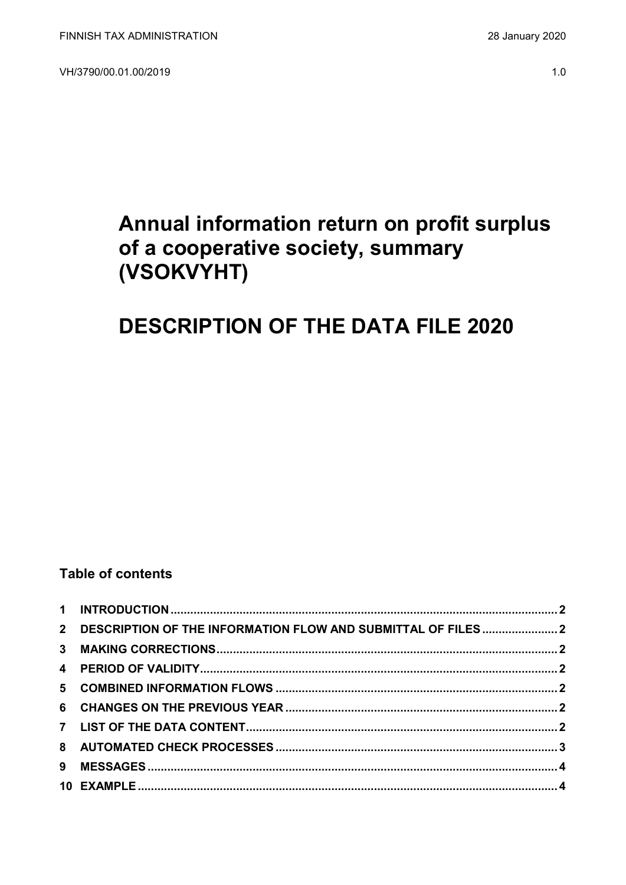VH/3790/00.01.00/2019

# Annual information return on profit surplus of a cooperative society, summary (VSOKVYHT)

## **DESCRIPTION OF THE DATA FILE 2020**

### **Table of contents**

| 2 DESCRIPTION OF THE INFORMATION FLOW AND SUBMITTAL OF FILES2 |  |
|---------------------------------------------------------------|--|
|                                                               |  |
|                                                               |  |
|                                                               |  |
|                                                               |  |
|                                                               |  |
|                                                               |  |
|                                                               |  |
|                                                               |  |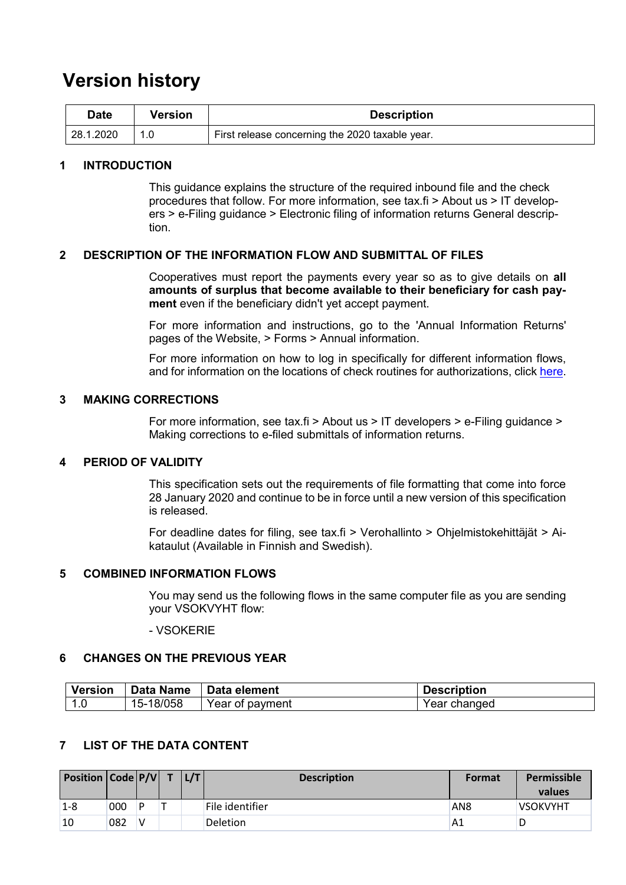## **Version history**

| Date      | Version | <b>Description</b>                              |
|-----------|---------|-------------------------------------------------|
| 28.1.2020 |         | First release concerning the 2020 taxable year. |

#### <span id="page-1-0"></span>**1 INTRODUCTION**

This guidance explains the structure of the required inbound file and the check procedures that follow. For more information, see tax.fi > About us > IT developers > e-Filing guidance > Electronic filing of information returns General description.

#### <span id="page-1-1"></span>**2 DESCRIPTION OF THE INFORMATION FLOW AND SUBMITTAL OF FILES**

Cooperatives must report the payments every year so as to give details on **all amounts of surplus that become available to their beneficiary for cash payment** even if the beneficiary didn't yet accept payment.

For more information and instructions, go to the 'Annual Information Returns' pages of the Website, > Forms > Annual information.

For more information on how to log in specifically for different information flows, and for information on the locations of check routines for authorizations, click [here.](https://www.ilmoitin.fi/webtamo/sivut/IlmoituslajiRoolit?kieli=en&tv=VSOKVYHT)

#### <span id="page-1-2"></span>**3 MAKING CORRECTIONS**

For more information, see tax.fi > About us > IT developers > e-Filing guidance > Making corrections to e-filed submittals of information returns.

#### <span id="page-1-3"></span>**4 PERIOD OF VALIDITY**

This specification sets out the requirements of file formatting that come into force 28 January 2020 and continue to be in force until a new version of this specification is released.

For deadline dates for filing, see tax.fi > Verohallinto > Ohjelmistokehittäjät > Aikataulut (Available in Finnish and Swedish).

#### <span id="page-1-4"></span>**5 COMBINED INFORMATION FLOWS**

You may send us the following flows in the same computer file as you are sending your VSOKVYHT flow:

- VSOKERIE

#### <span id="page-1-5"></span>**6 CHANGES ON THE PREVIOUS YEAR**

| <b>Version</b> | <b>Data Name</b> | ∣ Data element  | <b>Description</b> |
|----------------|------------------|-----------------|--------------------|
|                | 15-18/058        | Year of payment | Year changed       |

#### <span id="page-1-6"></span>**7 LIST OF THE DATA CONTENT**

| <b>Position <math>\vert</math> Code <math>\vert</math> P/V <math>\vert</math> T</b> |     |   | L/T | <b>Description</b> | <b>Format</b>   | Permissible<br>values |
|-------------------------------------------------------------------------------------|-----|---|-----|--------------------|-----------------|-----------------------|
| $1 - 8$                                                                             | 000 | D |     | File identifier    | AN <sub>8</sub> | <b>VSOKVYHT</b>       |
| 10                                                                                  | 082 | v |     | <b>Deletion</b>    | A1              |                       |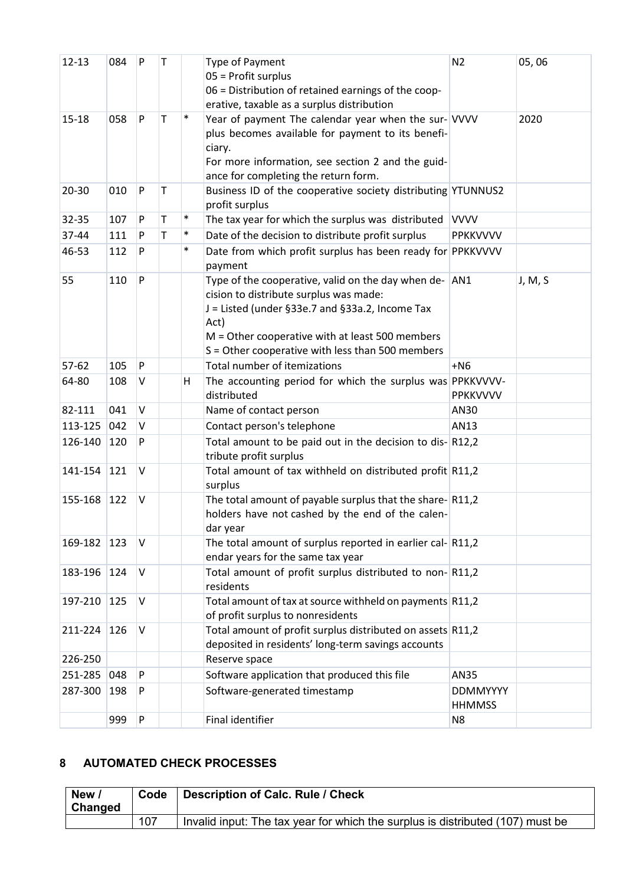| $12 - 13$ | 084           | P         | т |        | Type of Payment<br>$05$ = Profit surplus<br>06 = Distribution of retained earnings of the coop-<br>erative, taxable as a surplus distribution                                                                                                                        | N <sub>2</sub>                   | 05,06   |
|-----------|---------------|-----------|---|--------|----------------------------------------------------------------------------------------------------------------------------------------------------------------------------------------------------------------------------------------------------------------------|----------------------------------|---------|
| $15 - 18$ | 058           | P         | T | $\ast$ | Year of payment The calendar year when the sur- VVVV<br>plus becomes available for payment to its benefi-<br>ciary.<br>For more information, see section 2 and the guid-<br>ance for completing the return form.                                                     |                                  | 2020    |
| $20 - 30$ | 010           | P         | T |        | Business ID of the cooperative society distributing YTUNNUS2<br>profit surplus                                                                                                                                                                                       |                                  |         |
| 32-35     | 107           | P         | T | $\ast$ | The tax year for which the surplus was distributed VVVV                                                                                                                                                                                                              |                                  |         |
| 37-44     | 111           | P         | T | $\ast$ | Date of the decision to distribute profit surplus                                                                                                                                                                                                                    | <b>PPKKVVVV</b>                  |         |
| 46-53     | 112           | P         |   | $\ast$ | Date from which profit surplus has been ready for PPKKVVVV<br>payment                                                                                                                                                                                                |                                  |         |
| 55        | 110           | P         |   |        | Type of the cooperative, valid on the day when de- AN1<br>cision to distribute surplus was made:<br>J = Listed (under §33e.7 and §33a.2, Income Tax<br>Act)<br>$M =$ Other cooperative with at least 500 members<br>S = Other cooperative with less than 500 members |                                  | J, M, S |
| $57-62$   | 105           | P         |   |        | Total number of itemizations                                                                                                                                                                                                                                         | $+NG$                            |         |
| 64-80     | 108           | V         |   | H      | The accounting period for which the surplus was PPKKVVVV-<br>distributed                                                                                                                                                                                             | PPKKVVVV                         |         |
| 82-111    | 041           | V         |   |        | Name of contact person                                                                                                                                                                                                                                               | AN30                             |         |
| 113-125   | 042           | V         |   |        | Contact person's telephone                                                                                                                                                                                                                                           | AN13                             |         |
| 126-140   | 120           | P         |   |        | Total amount to be paid out in the decision to dis-R12,2<br>tribute profit surplus                                                                                                                                                                                   |                                  |         |
| 141-154   | 121           | V         |   |        | Total amount of tax withheld on distributed profit R11,2<br>surplus                                                                                                                                                                                                  |                                  |         |
| 155-168   | 122           | V         |   |        | The total amount of payable surplus that the share-R11,2<br>holders have not cashed by the end of the calen-<br>dar year                                                                                                                                             |                                  |         |
| 169-182   | $ 123\rangle$ | V         |   |        | The total amount of surplus reported in earlier cal- $\vert$ R11,2<br>endar years for the same tax year                                                                                                                                                              |                                  |         |
| 183-196   | 124           | V         |   |        | Total amount of profit surplus distributed to non-R11,2<br>residents                                                                                                                                                                                                 |                                  |         |
| 197-210   | 125           | V         |   |        | Total amount of tax at source withheld on payments R11,2<br>of profit surplus to nonresidents                                                                                                                                                                        |                                  |         |
| 211-224   | 126           | V         |   |        | Total amount of profit surplus distributed on assets R11,2<br>deposited in residents' long-term savings accounts                                                                                                                                                     |                                  |         |
| 226-250   |               |           |   |        | Reserve space                                                                                                                                                                                                                                                        |                                  |         |
| 251-285   | 048           | P         |   |        | Software application that produced this file                                                                                                                                                                                                                         | <b>AN35</b>                      |         |
| 287-300   | 198           | P         |   |        | Software-generated timestamp                                                                                                                                                                                                                                         | <b>DDMMYYYY</b><br><b>HHMMSS</b> |         |
|           | 999           | ${\sf P}$ |   |        | Final identifier                                                                                                                                                                                                                                                     | N <sub>8</sub>                   |         |

### <span id="page-2-0"></span>**8 AUTOMATED CHECK PROCESSES**

| New<br><b>Changed</b> | Code | <b>Description of Calc. Rule / Check</b>                                       |
|-----------------------|------|--------------------------------------------------------------------------------|
|                       | 107  | Invalid input: The tax year for which the surplus is distributed (107) must be |